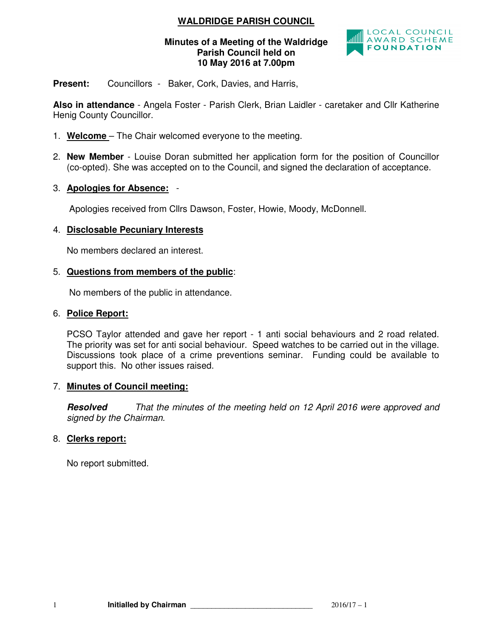### **WALDRIDGE PARISH COUNCIL**

### **Minutes of a Meeting of the Waldridge Parish Council held on 10 May 2016 at 7.00pm**



**Present:** Councillors - Baker, Cork, Davies, and Harris,

**Also in attendance** - Angela Foster - Parish Clerk, Brian Laidler - caretaker and Cllr Katherine Henig County Councillor.

- 1. **Welcome**  The Chair welcomed everyone to the meeting.
- 2. **New Member** Louise Doran submitted her application form for the position of Councillor (co-opted). She was accepted on to the Council, and signed the declaration of acceptance.
- 3. **Apologies for Absence:** -

Apologies received from Cllrs Dawson, Foster, Howie, Moody, McDonnell.

### 4. **Disclosable Pecuniary Interests**

No members declared an interest.

### 5. **Questions from members of the public**:

No members of the public in attendance.

#### 6. **Police Report:**

PCSO Taylor attended and gave her report - 1 anti social behaviours and 2 road related. The priority was set for anti social behaviour. Speed watches to be carried out in the village. Discussions took place of a crime preventions seminar. Funding could be available to support this. No other issues raised.

### 7. **Minutes of Council meeting:**

**Resolved** That the minutes of the meeting held on 12 April 2016 were approved and signed by the Chairman.

### 8. **Clerks report:**

No report submitted.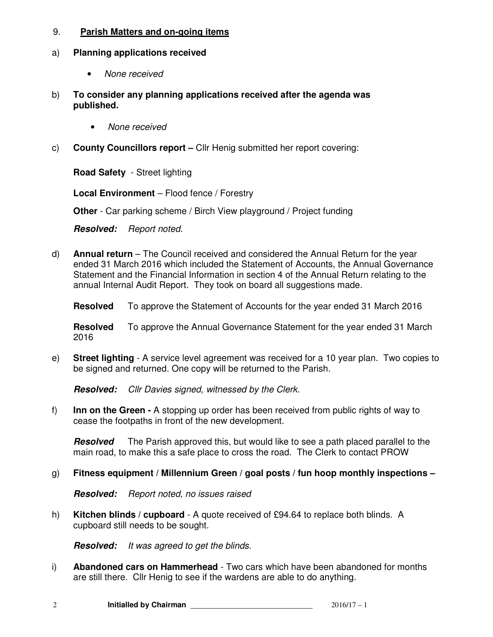### 9. **Parish Matters and on-going items**

#### a) **Planning applications received**

- None received
- b) **To consider any planning applications received after the agenda was published.** 
	- None received
- c) **County Councillors report** Cllr Henig submitted her report covering:

**Road Safety** - Street lighting

**Local Environment** – Flood fence / Forestry

**Other** - Car parking scheme / Birch View playground / Project funding

**Resolved:** Report noted.

- d) **Annual return** The Council received and considered the Annual Return for the year ended 31 March 2016 which included the Statement of Accounts, the Annual Governance Statement and the Financial Information in section 4 of the Annual Return relating to the annual Internal Audit Report. They took on board all suggestions made.
	- **Resolved** To approve the Statement of Accounts for the year ended 31 March 2016

**Resolved** To approve the Annual Governance Statement for the year ended 31 March 2016

e) **Street lighting** - A service level agreement was received for a 10 year plan. Two copies to be signed and returned. One copy will be returned to the Parish.

**Resolved:** Cllr Davies signed, witnessed by the Clerk.

f) **Inn on the Green -** A stopping up order has been received from public rights of way to cease the footpaths in front of the new development.

**Resolved** The Parish approved this, but would like to see a path placed parallel to the main road, to make this a safe place to cross the road. The Clerk to contact PROW

### g) **Fitness equipment / Millennium Green / goal posts / fun hoop monthly inspections –**

**Resolved:** Report noted, no issues raised

h) **Kitchen blinds / cupboard** - A quote received of £94.64 to replace both blinds. A cupboard still needs to be sought.

**Resolved:** It was agreed to get the blinds.

i) **Abandoned cars on Hammerhead** - Two cars which have been abandoned for months are still there. Cllr Henig to see if the wardens are able to do anything.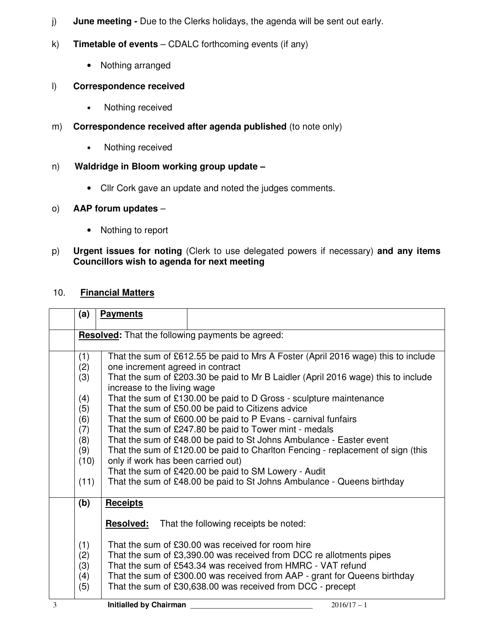- j) **June meeting** Due to the Clerks holidays, the agenda will be sent out early.
- k) **Timetable of events** CDALC forthcoming events (if any)
	- Nothing arranged

### l) **Correspondence received**

- Nothing received
- m) **Correspondence received after agenda published** (to note only)
	- Nothing received

# n) **Waldridge in Bloom working group update –**

• Cllr Cork gave an update and noted the judges comments.

### o) **AAP forum updates** –

- Nothing to report
- p) **Urgent issues for noting** (Clerk to use delegated powers if necessary) **and any items Councillors wish to agenda for next meeting**

### 10. **Financial Matters**

|   | (a)  | <b>Payments</b>                                                                                                  |                                                         |  |
|---|------|------------------------------------------------------------------------------------------------------------------|---------------------------------------------------------|--|
|   |      |                                                                                                                  | <b>Resolved:</b> That the following payments be agreed: |  |
|   |      |                                                                                                                  |                                                         |  |
|   | (1)  | That the sum of £612.55 be paid to Mrs A Foster (April 2016 wage) this to include                                |                                                         |  |
|   | (2)  | one increment agreed in contract                                                                                 |                                                         |  |
|   | (3)  | That the sum of £203.30 be paid to Mr B Laidler (April 2016 wage) this to include<br>increase to the living wage |                                                         |  |
|   | (4)  | That the sum of £130.00 be paid to D Gross - sculpture maintenance                                               |                                                         |  |
|   | (5)  | That the sum of £50.00 be paid to Citizens advice                                                                |                                                         |  |
|   | (6)  | That the sum of £600.00 be paid to P Evans - carnival funfairs                                                   |                                                         |  |
|   | (7)  | That the sum of £247.80 be paid to Tower mint - medals                                                           |                                                         |  |
|   | (8)  | That the sum of £48.00 be paid to St Johns Ambulance - Easter event                                              |                                                         |  |
|   | (9)  | That the sum of £120.00 be paid to Charlton Fencing - replacement of sign (this                                  |                                                         |  |
|   | (10) | only if work has been carried out)                                                                               |                                                         |  |
|   |      | That the sum of £420.00 be paid to SM Lowery - Audit                                                             |                                                         |  |
|   | (11) | That the sum of £48.00 be paid to St Johns Ambulance - Queens birthday                                           |                                                         |  |
|   | (b)  | <b>Receipts</b>                                                                                                  |                                                         |  |
|   |      | <b>Resolved:</b><br>That the following receipts be noted:                                                        |                                                         |  |
|   |      |                                                                                                                  |                                                         |  |
|   | (1)  | That the sum of £30.00 was received for room hire                                                                |                                                         |  |
|   | (2)  | That the sum of £3,390.00 was received from DCC re allotments pipes                                              |                                                         |  |
|   | (3)  | That the sum of £543.34 was received from HMRC - VAT refund                                                      |                                                         |  |
|   | (4)  | That the sum of £300.00 was received from AAP - grant for Queens birthday                                        |                                                         |  |
|   | (5)  | That the sum of £30,638.00 was received from DCC - precept                                                       |                                                         |  |
| 3 |      | <b>Initialled by Chairman</b>                                                                                    | $2016/17 - 1$                                           |  |